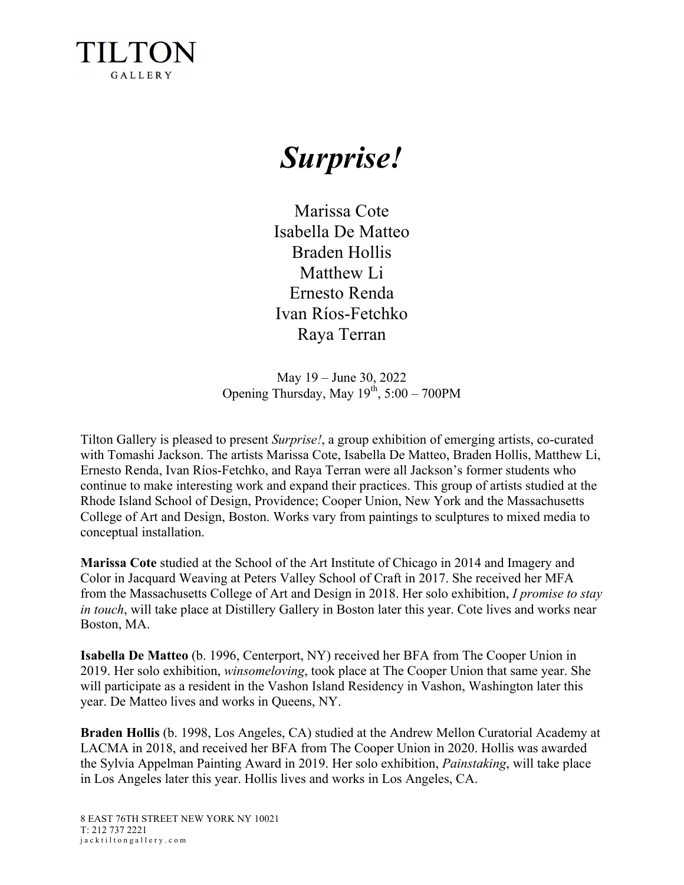

## *Surprise!*

Marissa Cote Isabella De Matteo Braden Hollis Matthew Li Ernesto Renda Ivan Ríos-Fetchko Raya Terran

May 19 – June 30, 2022 Opening Thursday, May  $19^{th}$ ,  $5:00 - 700$ PM

Tilton Gallery is pleased to present *Surprise!*, a group exhibition of emerging artists, co-curated with Tomashi Jackson. The artists Marissa Cote, Isabella De Matteo, Braden Hollis, Matthew Li, Ernesto Renda, Ivan Ríos-Fetchko, and Raya Terran were all Jackson's former students who continue to make interesting work and expand their practices. This group of artists studied at the Rhode Island School of Design, Providence; Cooper Union, New York and the Massachusetts College of Art and Design, Boston. Works vary from paintings to sculptures to mixed media to conceptual installation.

**Marissa Cote** studied at the School of the Art Institute of Chicago in 2014 and Imagery and Color in Jacquard Weaving at Peters Valley School of Craft in 2017. She received her MFA from the Massachusetts College of Art and Design in 2018. Her solo exhibition, *I promise to stay in touch*, will take place at Distillery Gallery in Boston later this year. Cote lives and works near Boston, MA.

**Isabella De Matteo** (b. 1996, Centerport, NY) received her BFA from The Cooper Union in 2019. Her solo exhibition, *winsomeloving*, took place at The Cooper Union that same year. She will participate as a resident in the Vashon Island Residency in Vashon, Washington later this year. De Matteo lives and works in Queens, NY.

**Braden Hollis** (b. 1998, Los Angeles, CA) studied at the Andrew Mellon Curatorial Academy at LACMA in 2018, and received her BFA from The Cooper Union in 2020. Hollis was awarded the Sylvia Appelman Painting Award in 2019. Her solo exhibition, *Painstaking*, will take place in Los Angeles later this year. Hollis lives and works in Los Angeles, CA.